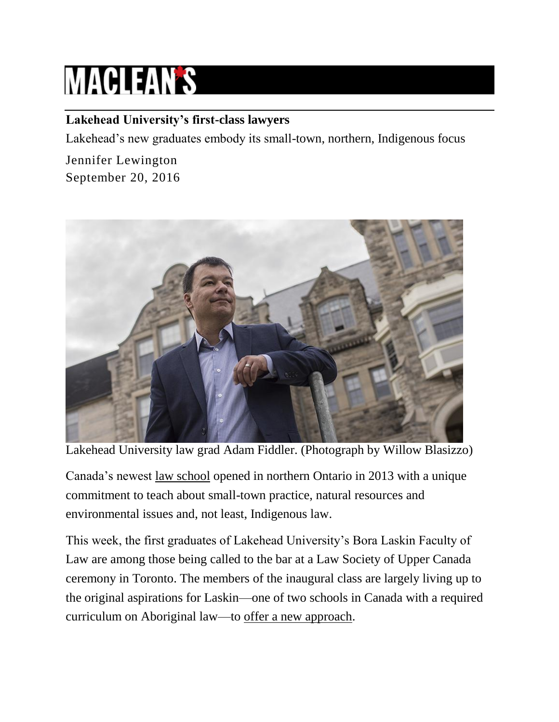## **MACLEAN'S**

## **Lakehead University's first-class lawyers**

Lakehead's new graduates embody its small-town, northern, Indigenous focus

Jennifer Lewington September 20, 2016



Lakehead University law grad Adam Fiddler. (Photograph by Willow Blasizzo)

Canada's newest [law school](http://www.macleans.ca/education/university/these-court-cases-may-just-be-for-show-but-thats-a-moot-point/) opened in northern Ontario in 2013 with a unique commitment to teach about small-town practice, natural resources and environmental issues and, not least, Indigenous law.

This week, the first graduates of Lakehead University's Bora Laskin Faculty of Law are among those being called to the bar at a Law Society of Upper Canada ceremony in Toronto. The members of the inaugural class are largely living up to the original aspirations for Laskin—one of two schools in Canada with a required curriculum on Aboriginal law—to [offer a new approach.](http://www.macleans.ca/education/university/the-new-faces-of-law-school-in-canada/)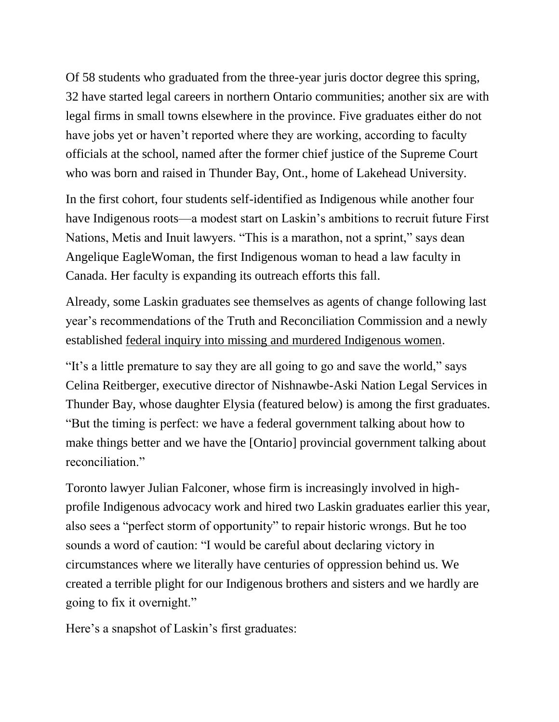Of 58 students who graduated from the three-year juris doctor degree this spring, 32 have started legal careers in northern Ontario communities; another six are with legal firms in small towns elsewhere in the province. Five graduates either do not have jobs yet or haven't reported where they are working, according to faculty officials at the school, named after the former chief justice of the Supreme Court who was born and raised in Thunder Bay, Ont., home of Lakehead University.

In the first cohort, four students self-identified as Indigenous while another four have Indigenous roots—a modest start on Laskin's ambitions to recruit future First Nations, Metis and Inuit lawyers. "This is a marathon, not a sprint," says dean Angelique EagleWoman, the first Indigenous woman to head a law faculty in Canada. Her faculty is expanding its outreach efforts this fall.

Already, some Laskin graduates see themselves as agents of change following last year's recommendations of the Truth and Reconciliation Commission and a newly established [federal inquiry into missing and murdered Indigenous women.](http://www.macleans.ca/news/canada/how-the-mmiw-inquiry-could-help-long-suffering-families/)

"It's a little premature to say they are all going to go and save the world," says Celina Reitberger, executive director of Nishnawbe-Aski Nation Legal Services in Thunder Bay, whose daughter Elysia (featured below) is among the first graduates. "But the timing is perfect: we have a federal government talking about how to make things better and we have the [Ontario] provincial government talking about reconciliation."

Toronto lawyer Julian Falconer, whose firm is increasingly involved in highprofile Indigenous advocacy work and hired two Laskin graduates earlier this year, also sees a "perfect storm of opportunity" to repair historic wrongs. But he too sounds a word of caution: "I would be careful about declaring victory in circumstances where we literally have centuries of oppression behind us. We created a terrible plight for our Indigenous brothers and sisters and we hardly are going to fix it overnight."

Here's a snapshot of Laskin's first graduates: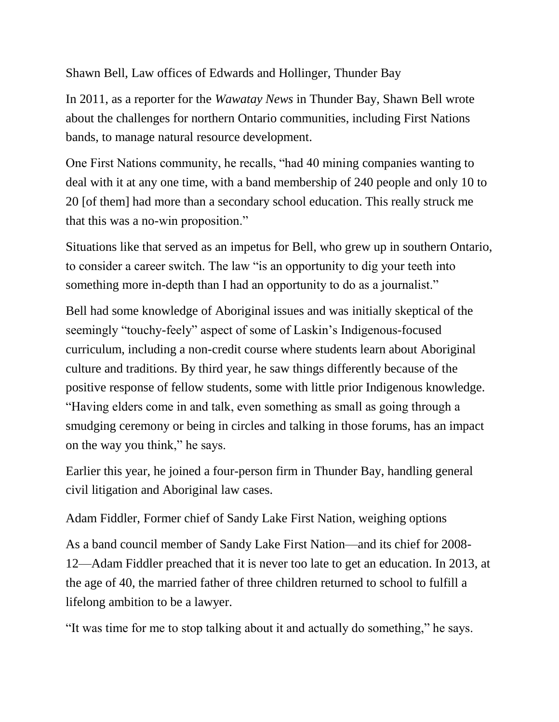Shawn Bell, Law offices of Edwards and Hollinger, Thunder Bay

In 2011, as a reporter for the *Wawatay News* in Thunder Bay, Shawn Bell wrote about the challenges for northern Ontario communities, including First Nations bands, to manage natural resource development.

One First Nations community, he recalls, "had 40 mining companies wanting to deal with it at any one time, with a band membership of 240 people and only 10 to 20 [of them] had more than a secondary school education. This really struck me that this was a no-win proposition."

Situations like that served as an impetus for Bell, who grew up in southern Ontario, to consider a career switch. The law "is an opportunity to dig your teeth into something more in-depth than I had an opportunity to do as a journalist."

Bell had some knowledge of Aboriginal issues and was initially skeptical of the seemingly "touchy-feely" aspect of some of Laskin's Indigenous-focused curriculum, including a non-credit course where students learn about Aboriginal culture and traditions. By third year, he saw things differently because of the positive response of fellow students, some with little prior Indigenous knowledge. "Having elders come in and talk, even something as small as going through a smudging ceremony or being in circles and talking in those forums, has an impact on the way you think," he says.

Earlier this year, he joined a four-person firm in Thunder Bay, handling general civil litigation and Aboriginal law cases.

Adam Fiddler, Former chief of Sandy Lake First Nation, weighing options

As a band council member of Sandy Lake First Nation—and its chief for 2008- 12—Adam Fiddler preached that it is never too late to get an education. In 2013, at the age of 40, the married father of three children returned to school to fulfill a lifelong ambition to be a lawyer.

"It was time for me to stop talking about it and actually do something," he says.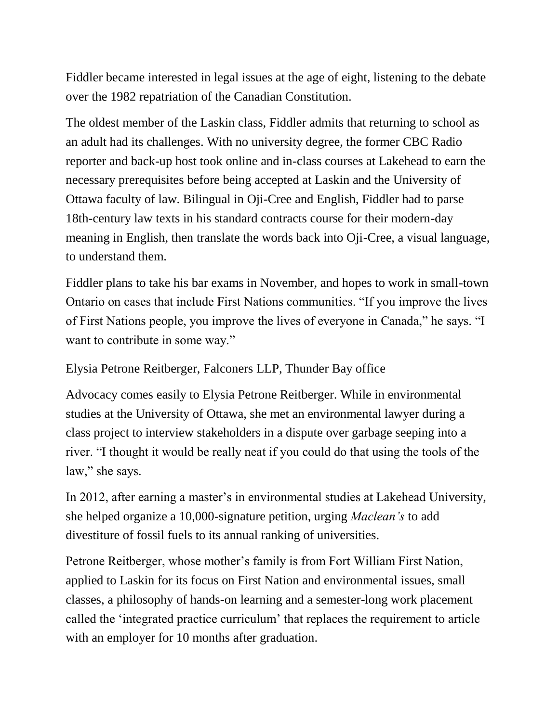Fiddler became interested in legal issues at the age of eight, listening to the debate over the 1982 repatriation of the Canadian Constitution.

The oldest member of the Laskin class, Fiddler admits that returning to school as an adult had its challenges. With no university degree, the former CBC Radio reporter and back-up host took online and in-class courses at Lakehead to earn the necessary prerequisites before being accepted at Laskin and the University of Ottawa faculty of law. Bilingual in Oji-Cree and English, Fiddler had to parse 18th-century law texts in his standard contracts course for their modern-day meaning in English, then translate the words back into Oji-Cree, a visual language, to understand them.

Fiddler plans to take his bar exams in November, and hopes to work in small-town Ontario on cases that include First Nations communities. "If you improve the lives of First Nations people, you improve the lives of everyone in Canada," he says. "I want to contribute in some way."

Elysia Petrone Reitberger, Falconers LLP, Thunder Bay office

Advocacy comes easily to Elysia Petrone Reitberger. While in environmental studies at the University of Ottawa, she met an environmental lawyer during a class project to interview stakeholders in a dispute over garbage seeping into a river. "I thought it would be really neat if you could do that using the tools of the law," she says.

In 2012, after earning a master's in environmental studies at Lakehead University, she helped organize a 10,000-signature petition, urging *Maclean's* to add divestiture of fossil fuels to its annual ranking of universities.

Petrone Reitberger, whose mother's family is from Fort William First Nation, applied to Laskin for its focus on First Nation and environmental issues, small classes, a philosophy of hands-on learning and a semester-long work placement called the 'integrated practice curriculum' that replaces the requirement to article with an employer for 10 months after graduation.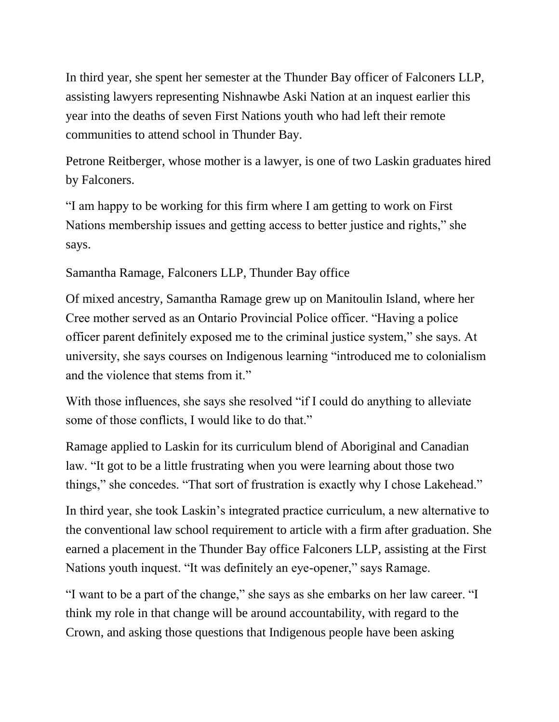In third year, she spent her semester at the Thunder Bay officer of Falconers LLP, assisting lawyers representing Nishnawbe Aski Nation at an inquest earlier this year into the deaths of seven First Nations youth who had left their remote communities to attend school in Thunder Bay.

Petrone Reitberger, whose mother is a lawyer, is one of two Laskin graduates hired by Falconers.

"I am happy to be working for this firm where I am getting to work on First Nations membership issues and getting access to better justice and rights," she says.

Samantha Ramage, Falconers LLP, Thunder Bay office

Of mixed ancestry, Samantha Ramage grew up on Manitoulin Island, where her Cree mother served as an Ontario Provincial Police officer. "Having a police officer parent definitely exposed me to the criminal justice system," she says. At university, she says courses on Indigenous learning "introduced me to colonialism and the violence that stems from it."

With those influences, she says she resolved "if I could do anything to alleviate some of those conflicts, I would like to do that."

Ramage applied to Laskin for its curriculum blend of Aboriginal and Canadian law. "It got to be a little frustrating when you were learning about those two things," she concedes. "That sort of frustration is exactly why I chose Lakehead."

In third year, she took Laskin's integrated practice curriculum, a new alternative to the conventional law school requirement to article with a firm after graduation. She earned a placement in the Thunder Bay office Falconers LLP, assisting at the First Nations youth inquest. "It was definitely an eye-opener," says Ramage.

"I want to be a part of the change," she says as she embarks on her law career. "I think my role in that change will be around accountability, with regard to the Crown, and asking those questions that Indigenous people have been asking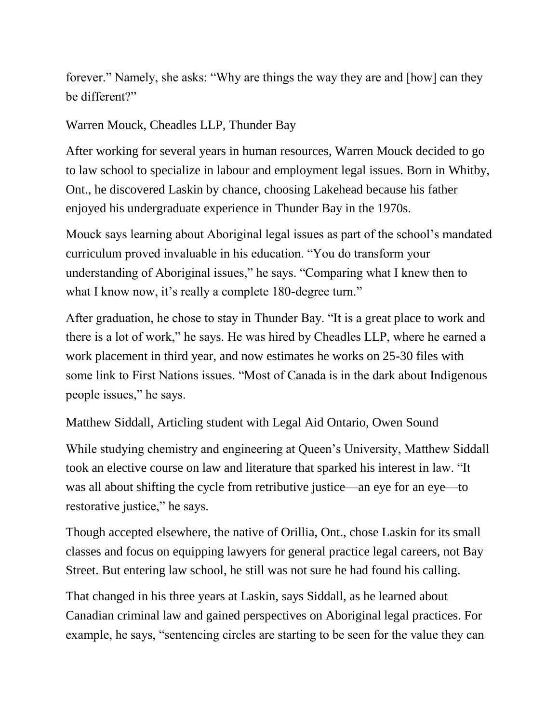forever." Namely, she asks: "Why are things the way they are and [how] can they be different?"

Warren Mouck, Cheadles LLP, Thunder Bay

After working for several years in human resources, Warren Mouck decided to go to law school to specialize in labour and employment legal issues. Born in Whitby, Ont., he discovered Laskin by chance, choosing Lakehead because his father enjoyed his undergraduate experience in Thunder Bay in the 1970s.

Mouck says learning about Aboriginal legal issues as part of the school's mandated curriculum proved invaluable in his education. "You do transform your understanding of Aboriginal issues," he says. "Comparing what I knew then to what I know now, it's really a complete 180-degree turn."

After graduation, he chose to stay in Thunder Bay. "It is a great place to work and there is a lot of work," he says. He was hired by Cheadles LLP, where he earned a work placement in third year, and now estimates he works on 25-30 files with some link to First Nations issues. "Most of Canada is in the dark about Indigenous people issues," he says.

Matthew Siddall, Articling student with Legal Aid Ontario, Owen Sound

While studying chemistry and engineering at Queen's University, Matthew Siddall took an elective course on law and literature that sparked his interest in law. "It was all about shifting the cycle from retributive justice—an eye for an eye—to restorative justice," he says.

Though accepted elsewhere, the native of Orillia, Ont., chose Laskin for its small classes and focus on equipping lawyers for general practice legal careers, not Bay Street. But entering law school, he still was not sure he had found his calling.

That changed in his three years at Laskin, says Siddall, as he learned about Canadian criminal law and gained perspectives on Aboriginal legal practices. For example, he says, "sentencing circles are starting to be seen for the value they can